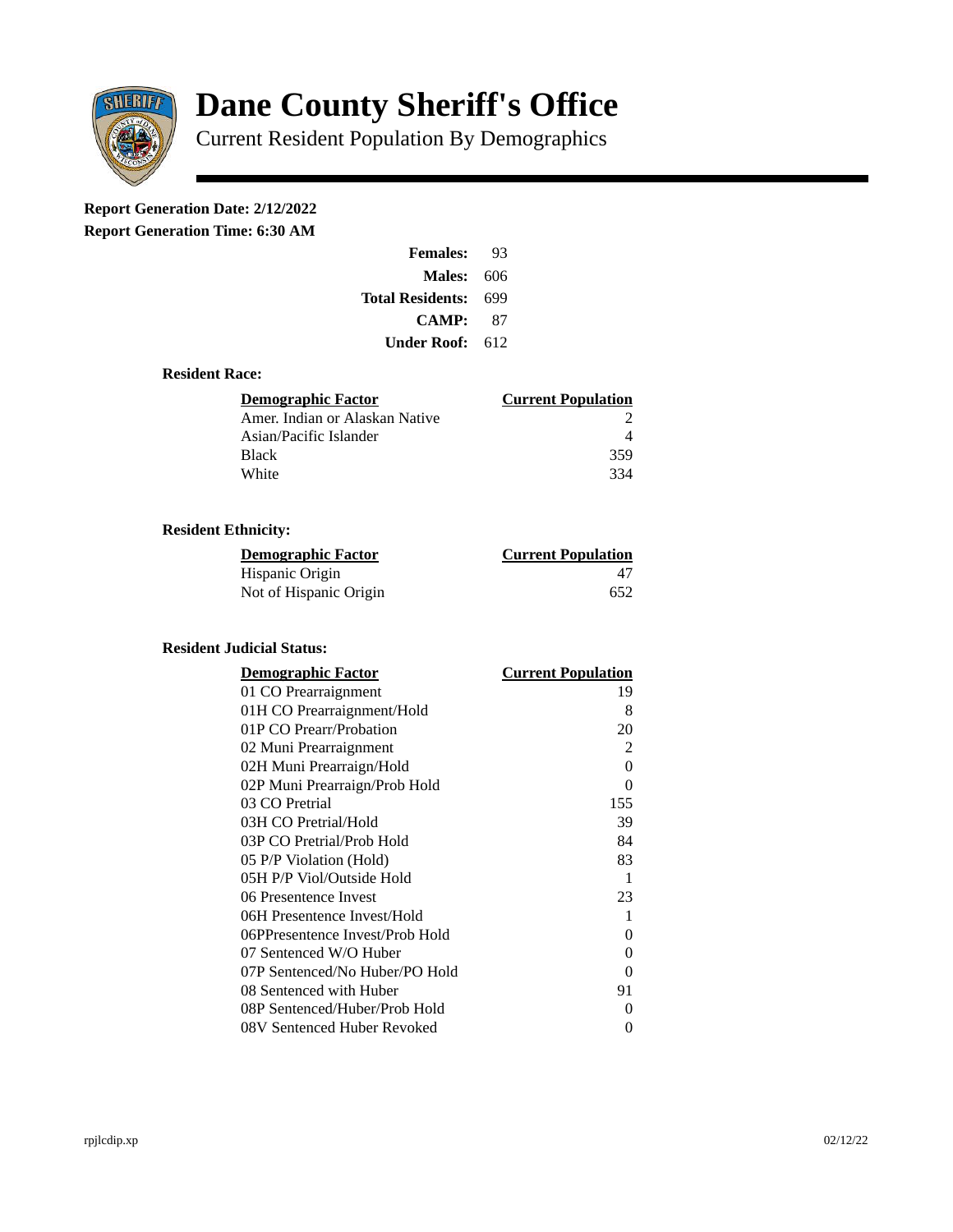

# **Dane County Sheriff's Office**

Current Resident Population By Demographics

# **Report Generation Date: 2/12/2022**

**Report Generation Time: 6:30 AM** 

| <b>Females:</b>   | 93  |
|-------------------|-----|
| <b>Males: 606</b> |     |
| Total Residents:  | 699 |
| CAMP:             | 87  |
| Under Roof:       | 612 |

### **Resident Race:**

| Demographic Factor             | <b>Current Population</b> |
|--------------------------------|---------------------------|
| Amer. Indian or Alaskan Native |                           |
| Asian/Pacific Islander         |                           |
| <b>Black</b>                   | 359                       |
| White                          | 334                       |

# **Resident Ethnicity:**

| <u>Demographic Factor</u> | <b>Current Population</b> |
|---------------------------|---------------------------|
| Hispanic Origin           | 47                        |
| Not of Hispanic Origin    | 652                       |

#### **Resident Judicial Status:**

| <b>Demographic Factor</b>       | <b>Current Population</b> |
|---------------------------------|---------------------------|
| 01 CO Prearraignment            | 19                        |
| 01H CO Prearraignment/Hold      | 8                         |
| 01P CO Prearr/Probation         | 20                        |
| 02 Muni Prearraignment          | $\overline{2}$            |
| 02H Muni Prearraign/Hold        | 0                         |
| 02P Muni Prearraign/Prob Hold   | 0                         |
| 03 CO Pretrial                  | 155                       |
| 03H CO Pretrial/Hold            | 39                        |
| 03P CO Pretrial/Prob Hold       | 84                        |
| 05 P/P Violation (Hold)         | 83                        |
| 05H P/P Viol/Outside Hold       | 1                         |
| 06 Presentence Invest           | 23                        |
| 06H Presentence Invest/Hold     | 1                         |
| 06PPresentence Invest/Prob Hold | 0                         |
| 07 Sentenced W/O Huber          | 0                         |
| 07P Sentenced/No Huber/PO Hold  | 0                         |
| 08 Sentenced with Huber         | 91                        |
| 08P Sentenced/Huber/Prob Hold   | 0                         |
| 08V Sentenced Huber Revoked     | 0                         |